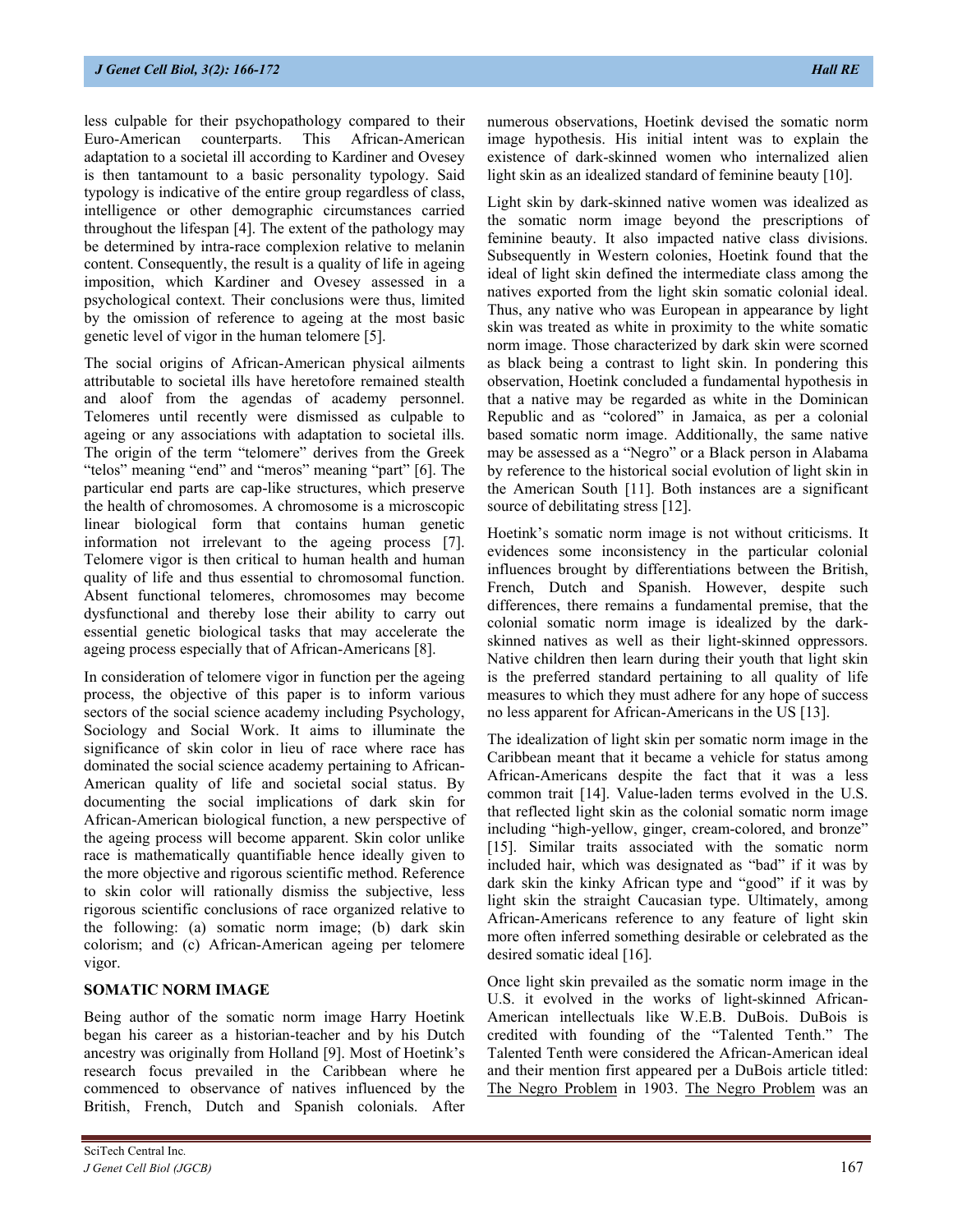less culpable for their psychopathology compared to their Euro-American counterparts. This African-American adaptation to a societal ill according to Kardiner and Ovesey is then tantamount to a basic personality typology. Said typology is indicative of the entire group regardless of class, intelligence or other demographic circumstances carried throughout the lifespan [4]. The extent of the pathology may be determined by intra-race complexion relative to melanin content. Consequently, the result is a quality of life in ageing imposition, which Kardiner and Ovesey assessed in a psychological context. Their conclusions were thus, limited by the omission of reference to ageing at the most basic genetic level of vigor in the human telomere [5].

The social origins of African-American physical ailments attributable to societal ills have heretofore remained stealth and aloof from the agendas of academy personnel. Telomeres until recently were dismissed as culpable to ageing or any associations with adaptation to societal ills. The origin of the term "telomere" derives from the Greek "telos" meaning "end" and "meros" meaning "part" [6]. The particular end parts are cap-like structures, which preserve the health of chromosomes. A chromosome is a microscopic linear biological form that contains human genetic information not irrelevant to the ageing process [7]. Telomere vigor is then critical to human health and human quality of life and thus essential to chromosomal function. Absent functional telomeres, chromosomes may become dysfunctional and thereby lose their ability to carry out essential genetic biological tasks that may accelerate the ageing process especially that of African-Americans [8].

In consideration of telomere vigor in function per the ageing process, the objective of this paper is to inform various sectors of the social science academy including Psychology, Sociology and Social Work. It aims to illuminate the significance of skin color in lieu of race where race has dominated the social science academy pertaining to African-American quality of life and societal social status. By documenting the social implications of dark skin for African-American biological function, a new perspective of the ageing process will become apparent. Skin color unlike race is mathematically quantifiable hence ideally given to the more objective and rigorous scientific method. Reference to skin color will rationally dismiss the subjective, less rigorous scientific conclusions of race organized relative to the following: (a) somatic norm image; (b) dark skin colorism; and (c) African-American ageing per telomere vigor.

# **SOMATIC NORM IMAGE**

Being author of the somatic norm image Harry Hoetink began his career as a historian-teacher and by his Dutch ancestry was originally from Holland [9]. Most of Hoetink's research focus prevailed in the Caribbean where he commenced to observance of natives influenced by the British, French, Dutch and Spanish colonials. After numerous observations, Hoetink devised the somatic norm image hypothesis. His initial intent was to explain the existence of dark-skinned women who internalized alien light skin as an idealized standard of feminine beauty [10].

Light skin by dark-skinned native women was idealized as the somatic norm image beyond the prescriptions of feminine beauty. It also impacted native class divisions. Subsequently in Western colonies, Hoetink found that the ideal of light skin defined the intermediate class among the natives exported from the light skin somatic colonial ideal. Thus, any native who was European in appearance by light skin was treated as white in proximity to the white somatic norm image. Those characterized by dark skin were scorned as black being a contrast to light skin. In pondering this observation, Hoetink concluded a fundamental hypothesis in that a native may be regarded as white in the Dominican Republic and as "colored" in Jamaica, as per a colonial based somatic norm image. Additionally, the same native may be assessed as a "Negro" or a Black person in Alabama by reference to the historical social evolution of light skin in the American South [11]. Both instances are a significant source of debilitating stress [12].

Hoetink's somatic norm image is not without criticisms. It evidences some inconsistency in the particular colonial influences brought by differentiations between the British, French, Dutch and Spanish. However, despite such differences, there remains a fundamental premise, that the colonial somatic norm image is idealized by the darkskinned natives as well as their light-skinned oppressors. Native children then learn during their youth that light skin is the preferred standard pertaining to all quality of life measures to which they must adhere for any hope of success no less apparent for African-Americans in the US [13].

The idealization of light skin per somatic norm image in the Caribbean meant that it became a vehicle for status among African-Americans despite the fact that it was a less common trait [14]. Value-laden terms evolved in the U.S. that reflected light skin as the colonial somatic norm image including "high-yellow, ginger, cream-colored, and bronze" [15]. Similar traits associated with the somatic norm included hair, which was designated as "bad" if it was by dark skin the kinky African type and "good" if it was by light skin the straight Caucasian type. Ultimately, among African-Americans reference to any feature of light skin more often inferred something desirable or celebrated as the desired somatic ideal [16].

Once light skin prevailed as the somatic norm image in the U.S. it evolved in the works of light-skinned African-American intellectuals like W.E.B. DuBois. DuBois is credited with founding of the "Talented Tenth." The Talented Tenth were considered the African-American ideal and their mention first appeared per a DuBois article titled: The Negro Problem in 1903. The Negro Problem was an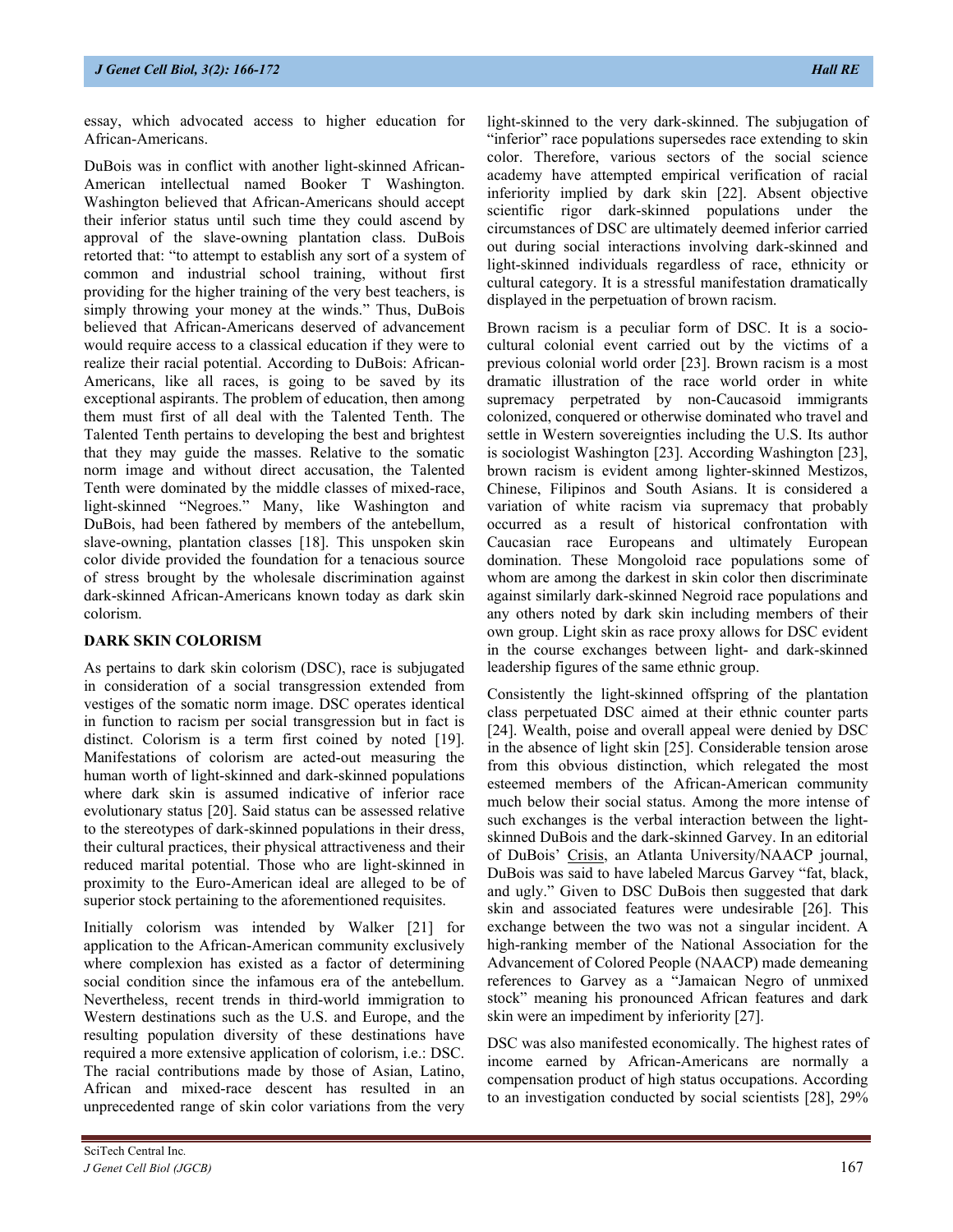DuBois was in conflict with another light-skinned African-American intellectual named Booker T Washington. Washington believed that African-Americans should accept their inferior status until such time they could ascend by approval of the slave-owning plantation class. DuBois retorted that: "to attempt to establish any sort of a system of common and industrial school training, without first providing for the higher training of the very best teachers, is simply throwing your money at the winds." Thus, DuBois believed that African-Americans deserved of advancement would require access to a classical education if they were to realize their racial potential. According to DuBois: African-Americans, like all races, is going to be saved by its exceptional aspirants. The problem of education, then among them must first of all deal with the Talented Tenth. The Talented Tenth pertains to developing the best and brightest that they may guide the masses. Relative to the somatic norm image and without direct accusation, the Talented Tenth were dominated by the middle classes of mixed-race, light-skinned "Negroes." Many, like Washington and DuBois, had been fathered by members of the antebellum, slave-owning, plantation classes [18]. This unspoken skin color divide provided the foundation for a tenacious source of stress brought by the wholesale discrimination against dark-skinned African-Americans known today as dark skin colorism.

# **DARK SKIN COLORISM**

As pertains to dark skin colorism (DSC), race is subjugated in consideration of a social transgression extended from vestiges of the somatic norm image. DSC operates identical in function to racism per social transgression but in fact is distinct. Colorism is a term first coined by noted [19]. Manifestations of colorism are acted-out measuring the human worth of light-skinned and dark-skinned populations where dark skin is assumed indicative of inferior race evolutionary status [20]. Said status can be assessed relative to the stereotypes of dark-skinned populations in their dress, their cultural practices, their physical attractiveness and their reduced marital potential. Those who are light-skinned in proximity to the Euro-American ideal are alleged to be of superior stock pertaining to the aforementioned requisites.

Initially colorism was intended by Walker [21] for application to the African-American community exclusively where complexion has existed as a factor of determining social condition since the infamous era of the antebellum. Nevertheless, recent trends in third-world immigration to Western destinations such as the U.S. and Europe, and the resulting population diversity of these destinations have required a more extensive application of colorism, i.e.: DSC. The racial contributions made by those of Asian, Latino, African and mixed-race descent has resulted in an unprecedented range of skin color variations from the very

light-skinned to the very dark-skinned. The subjugation of "inferior" race populations supersedes race extending to skin color. Therefore, various sectors of the social science academy have attempted empirical verification of racial inferiority implied by dark skin [22]. Absent objective scientific rigor dark-skinned populations under the circumstances of DSC are ultimately deemed inferior carried out during social interactions involving dark-skinned and light-skinned individuals regardless of race, ethnicity or cultural category. It is a stressful manifestation dramatically displayed in the perpetuation of brown racism.

Brown racism is a peculiar form of DSC. It is a sociocultural colonial event carried out by the victims of a previous colonial world order [23]. Brown racism is a most dramatic illustration of the race world order in white supremacy perpetrated by non-Caucasoid immigrants colonized, conquered or otherwise dominated who travel and settle in Western sovereignties including the U.S. Its author is sociologist Washington [23]. According Washington [23], brown racism is evident among lighter-skinned Mestizos, Chinese, Filipinos and South Asians. It is considered a variation of white racism via supremacy that probably occurred as a result of historical confrontation with Caucasian race Europeans and ultimately European domination. These Mongoloid race populations some of whom are among the darkest in skin color then discriminate against similarly dark-skinned Negroid race populations and any others noted by dark skin including members of their own group. Light skin as race proxy allows for DSC evident in the course exchanges between light- and dark-skinned leadership figures of the same ethnic group.

Consistently the light-skinned offspring of the plantation class perpetuated DSC aimed at their ethnic counter parts [24]. Wealth, poise and overall appeal were denied by DSC in the absence of light skin [25]. Considerable tension arose from this obvious distinction, which relegated the most esteemed members of the African-American community much below their social status. Among the more intense of such exchanges is the verbal interaction between the lightskinned DuBois and the dark-skinned Garvey. In an editorial of DuBois' Crisis, an Atlanta University/NAACP journal, DuBois was said to have labeled Marcus Garvey "fat, black, and ugly." Given to DSC DuBois then suggested that dark skin and associated features were undesirable [26]. This exchange between the two was not a singular incident. A high-ranking member of the National Association for the Advancement of Colored People (NAACP) made demeaning references to Garvey as a "Jamaican Negro of unmixed stock" meaning his pronounced African features and dark skin were an impediment by inferiority [27].

DSC was also manifested economically. The highest rates of income earned by African-Americans are normally a compensation product of high status occupations. According to an investigation conducted by social scientists [28], 29%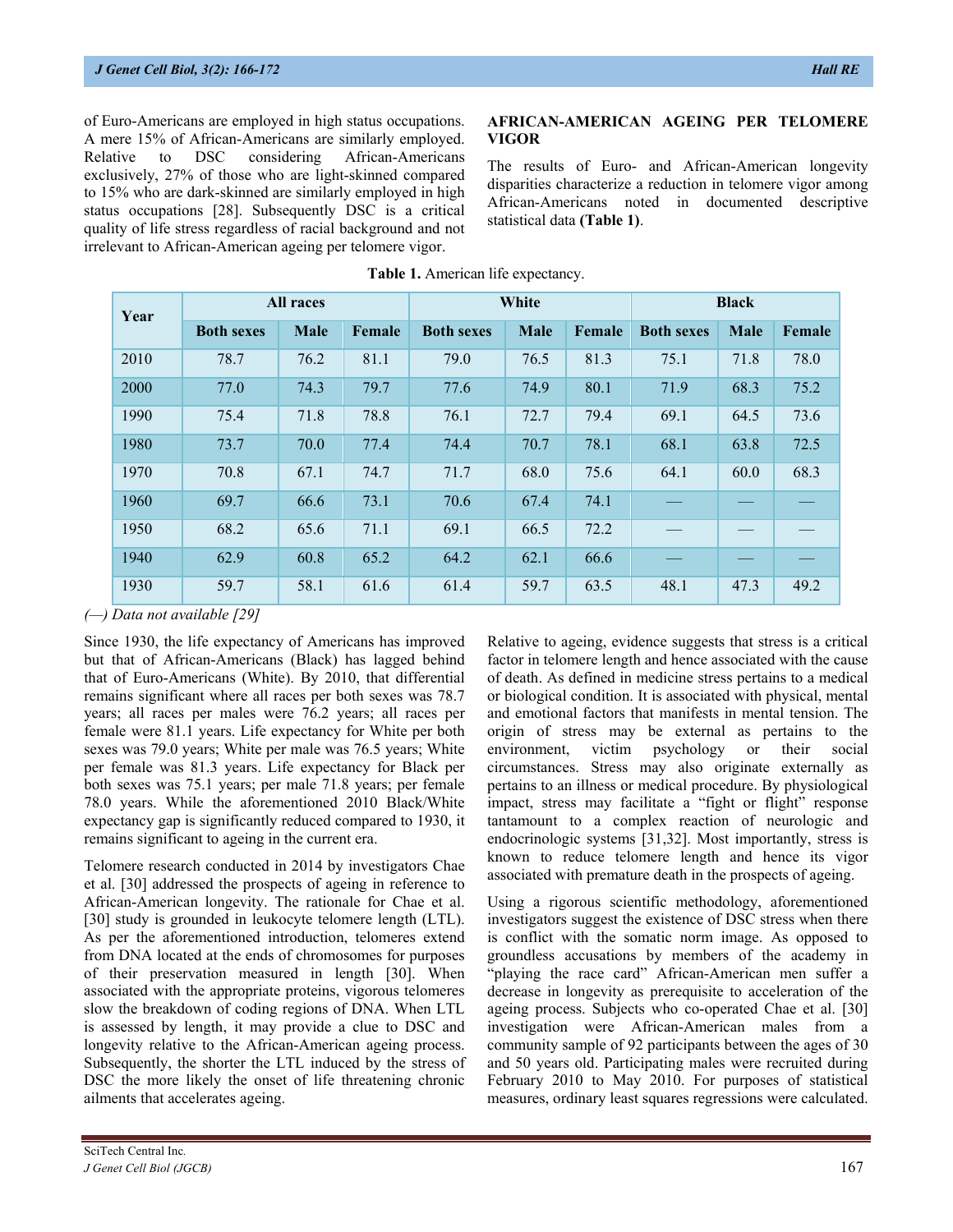of Euro-Americans are employed in high status occupations. A mere 15% of African-Americans are similarly employed. Relative to DSC considering African-Americans exclusively, 27% of those who are light-skinned compared to 15% who are dark-skinned are similarly employed in high status occupations [28]. Subsequently DSC is a critical quality of life stress regardless of racial background and not irrelevant to African-American ageing per telomere vigor.

# **AFRICAN-AMERICAN AGEING PER TELOMERE VIGOR**

The results of Euro- and African-American longevity disparities characterize a reduction in telomere vigor among African-Americans noted in documented descriptive statistical data **(Table 1)**.

| Year | <b>All races</b>  |      |        | White             |             |        | <b>Black</b>      |             |        |
|------|-------------------|------|--------|-------------------|-------------|--------|-------------------|-------------|--------|
|      | <b>Both sexes</b> | Male | Female | <b>Both sexes</b> | <b>Male</b> | Female | <b>Both sexes</b> | <b>Male</b> | Female |
| 2010 | 78.7              | 76.2 | 81.1   | 79.0              | 76.5        | 81.3   | 75.1              | 71.8        | 78.0   |
| 2000 | 77.0              | 74.3 | 79.7   | 77.6              | 74.9        | 80.1   | 71.9              | 68.3        | 75.2   |
| 1990 | 75.4              | 71.8 | 78.8   | 76.1              | 72.7        | 79.4   | 69.1              | 64.5        | 73.6   |
| 1980 | 73.7              | 70.0 | 77.4   | 74.4              | 70.7        | 78.1   | 68.1              | 63.8        | 72.5   |
| 1970 | 70.8              | 67.1 | 74.7   | 71.7              | 68.0        | 75.6   | 64.1              | 60.0        | 68.3   |
| 1960 | 69.7              | 66.6 | 73.1   | 70.6              | 67.4        | 74.1   |                   |             |        |
| 1950 | 68.2              | 65.6 | 71.1   | 69.1              | 66.5        | 72.2   |                   |             |        |
| 1940 | 62.9              | 60.8 | 65.2   | 64.2              | 62.1        | 66.6   |                   |             |        |
| 1930 | 59.7              | 58.1 | 61.6   | 61.4              | 59.7        | 63.5   | 48.1              | 47.3        | 49.2   |

#### **Table 1.** American life expectancy.

*(—) Data not available [29]*

Since 1930, the life expectancy of Americans has improved but that of African-Americans (Black) has lagged behind that of Euro-Americans (White). By 2010, that differential remains significant where all races per both sexes was 78.7 years; all races per males were 76.2 years; all races per female were 81.1 years. Life expectancy for White per both sexes was 79.0 years; White per male was 76.5 years; White per female was 81.3 years. Life expectancy for Black per both sexes was 75.1 years; per male 71.8 years; per female 78.0 years. While the aforementioned 2010 Black/White expectancy gap is significantly reduced compared to 1930, it remains significant to ageing in the current era.

Telomere research conducted in 2014 by investigators Chae et al. [30] addressed the prospects of ageing in reference to African-American longevity. The rationale for Chae et al. [30] study is grounded in leukocyte telomere length (LTL). As per the aforementioned introduction, telomeres extend from DNA located at the ends of chromosomes for purposes of their preservation measured in length [30]. When associated with the appropriate proteins, vigorous telomeres slow the breakdown of coding regions of DNA. When LTL is assessed by length, it may provide a clue to DSC and longevity relative to the African-American ageing process. Subsequently, the shorter the LTL induced by the stress of DSC the more likely the onset of life threatening chronic ailments that accelerates ageing.

Relative to ageing, evidence suggests that stress is a critical factor in telomere length and hence associated with the cause of death. As defined in medicine stress pertains to a medical or biological condition. It is associated with physical, mental and emotional factors that manifests in mental tension. The origin of stress may be external as pertains to the environment, victim psychology or their social circumstances. Stress may also originate externally as pertains to an illness or medical procedure. By physiological impact, stress may facilitate a "fight or flight" response tantamount to a complex reaction of neurologic and endocrinologic systems [31,32]. Most importantly, stress is known to reduce telomere length and hence its vigor associated with premature death in the prospects of ageing.

Using a rigorous scientific methodology, aforementioned investigators suggest the existence of DSC stress when there is conflict with the somatic norm image. As opposed to groundless accusations by members of the academy in "playing the race card" African-American men suffer a decrease in longevity as prerequisite to acceleration of the ageing process. Subjects who co-operated Chae et al. [30] investigation were African-American males from a community sample of 92 participants between the ages of 30 and 50 years old. Participating males were recruited during February 2010 to May 2010. For purposes of statistical measures, ordinary least squares regressions were calculated.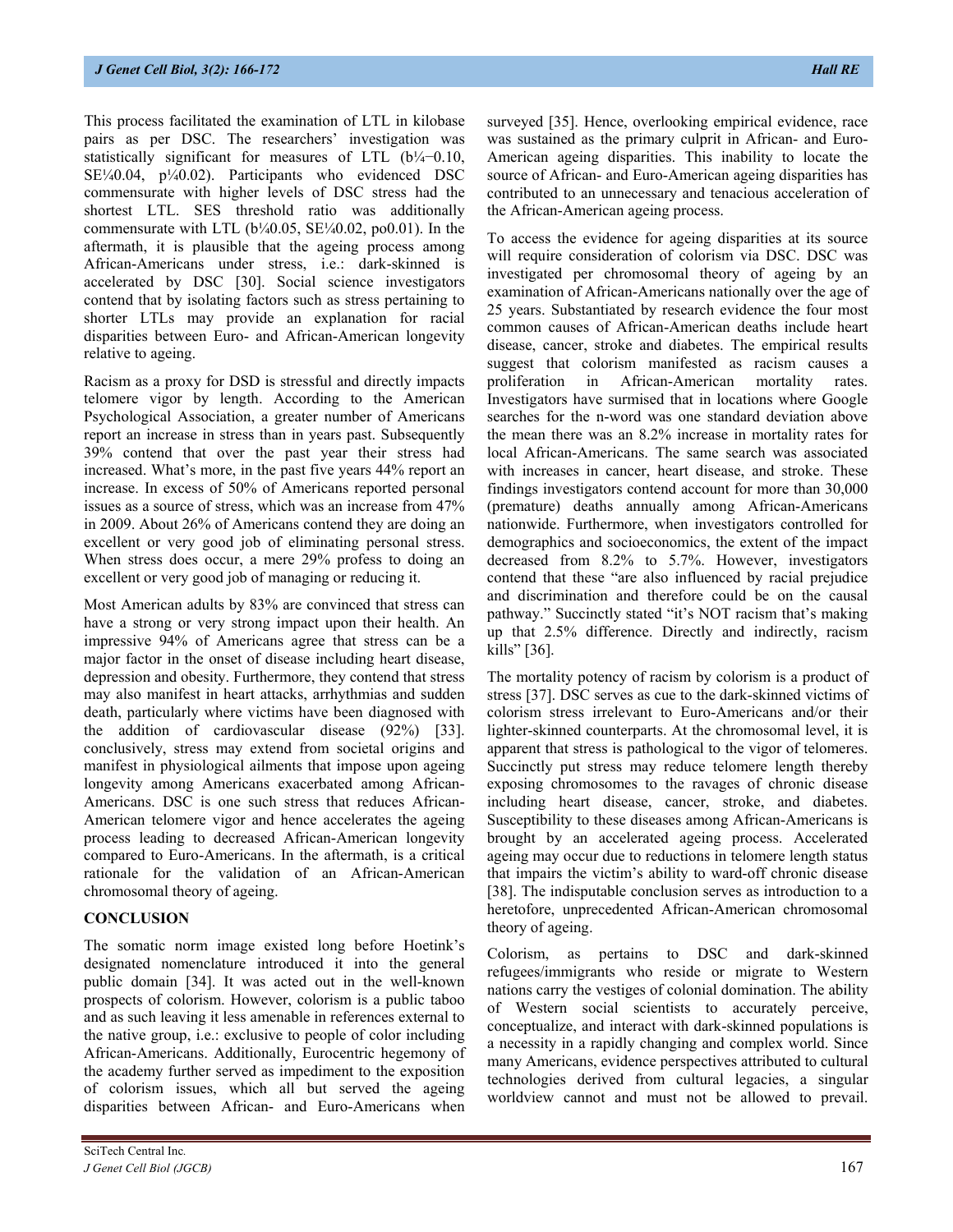This process facilitated the examination of LTL in kilobase pairs as per DSC. The researchers' investigation was statistically significant for measures of LTL (b¼−0.10, SE¼0.04, p¼0.02). Participants who evidenced DSC commensurate with higher levels of DSC stress had the shortest LTL. SES threshold ratio was additionally commensurate with LTL ( $b\frac{1}{40.05}$ , SE $\frac{1}{40.02}$ , po0.01). In the aftermath, it is plausible that the ageing process among African-Americans under stress, i.e.: dark-skinned is accelerated by DSC [30]. Social science investigators contend that by isolating factors such as stress pertaining to shorter LTLs may provide an explanation for racial disparities between Euro- and African-American longevity relative to ageing.

Racism as a proxy for DSD is stressful and directly impacts telomere vigor by length. According to the American Psychological Association, a greater number of Americans report an increase in stress than in years past. Subsequently 39% contend that over the past year their stress had increased. What's more, in the past five years 44% report an increase. In excess of 50% of Americans reported personal issues as a source of stress, which was an increase from 47% in 2009. About 26% of Americans contend they are doing an excellent or very good job of eliminating personal stress. When stress does occur, a mere 29% profess to doing an excellent or very good job of managing or reducing it.

Most American adults by 83% are convinced that stress can have a strong or very strong impact upon their health. An impressive 94% of Americans agree that stress can be a major factor in the onset of disease including heart disease, depression and obesity. Furthermore, they contend that stress may also manifest in heart attacks, arrhythmias and sudden death, particularly where victims have been diagnosed with the addition of cardiovascular disease (92%) [33]. conclusively, stress may extend from societal origins and manifest in physiological ailments that impose upon ageing longevity among Americans exacerbated among African-Americans. DSC is one such stress that reduces African-American telomere vigor and hence accelerates the ageing process leading to decreased African-American longevity compared to Euro-Americans. In the aftermath, is a critical rationale for the validation of an African-American chromosomal theory of ageing.

# **CONCLUSION**

The somatic norm image existed long before Hoetink's designated nomenclature introduced it into the general public domain [34]. It was acted out in the well-known prospects of colorism. However, colorism is a public taboo and as such leaving it less amenable in references external to the native group, i.e.: exclusive to people of color including African-Americans. Additionally, Eurocentric hegemony of the academy further served as impediment to the exposition of colorism issues, which all but served the ageing disparities between African- and Euro-Americans when surveyed [35]. Hence, overlooking empirical evidence, race was sustained as the primary culprit in African- and Euro-American ageing disparities. This inability to locate the source of African- and Euro-American ageing disparities has contributed to an unnecessary and tenacious acceleration of the African-American ageing process.

To access the evidence for ageing disparities at its source will require consideration of colorism via DSC. DSC was investigated per chromosomal theory of ageing by an examination of African-Americans nationally over the age of 25 years. Substantiated by research evidence the four most common causes of African-American deaths include heart disease, cancer, stroke and diabetes. The empirical results suggest that colorism manifested as racism causes a proliferation in African-American mortality rates. Investigators have surmised that in locations where Google searches for the n-word was one standard deviation above the mean there was an 8.2% increase in mortality rates for local African-Americans. The same search was associated with increases in cancer, heart disease, and stroke. These findings investigators contend account for more than 30,000 (premature) deaths annually among African-Americans nationwide. Furthermore, when investigators controlled for demographics and socioeconomics, the extent of the impact decreased from 8.2% to 5.7%. However, investigators contend that these "are also influenced by racial prejudice and discrimination and therefore could be on the causal pathway." Succinctly stated "it's NOT racism that's making up that 2.5% difference. Directly and indirectly, racism kills" [36].

The mortality potency of racism by colorism is a product of stress [37]. DSC serves as cue to the dark-skinned victims of colorism stress irrelevant to Euro-Americans and/or their lighter-skinned counterparts. At the chromosomal level, it is apparent that stress is pathological to the vigor of telomeres. Succinctly put stress may reduce telomere length thereby exposing chromosomes to the ravages of chronic disease including heart disease, cancer, stroke, and diabetes. Susceptibility to these diseases among African-Americans is brought by an accelerated ageing process. Accelerated ageing may occur due to reductions in telomere length status that impairs the victim's ability to ward-off chronic disease [38]. The indisputable conclusion serves as introduction to a heretofore, unprecedented African-American chromosomal theory of ageing.

Colorism, as pertains to DSC and dark-skinned refugees/immigrants who reside or migrate to Western nations carry the vestiges of colonial domination. The ability of Western social scientists to accurately perceive, conceptualize, and interact with dark-skinned populations is a necessity in a rapidly changing and complex world. Since many Americans, evidence perspectives attributed to cultural technologies derived from cultural legacies, a singular worldview cannot and must not be allowed to prevail.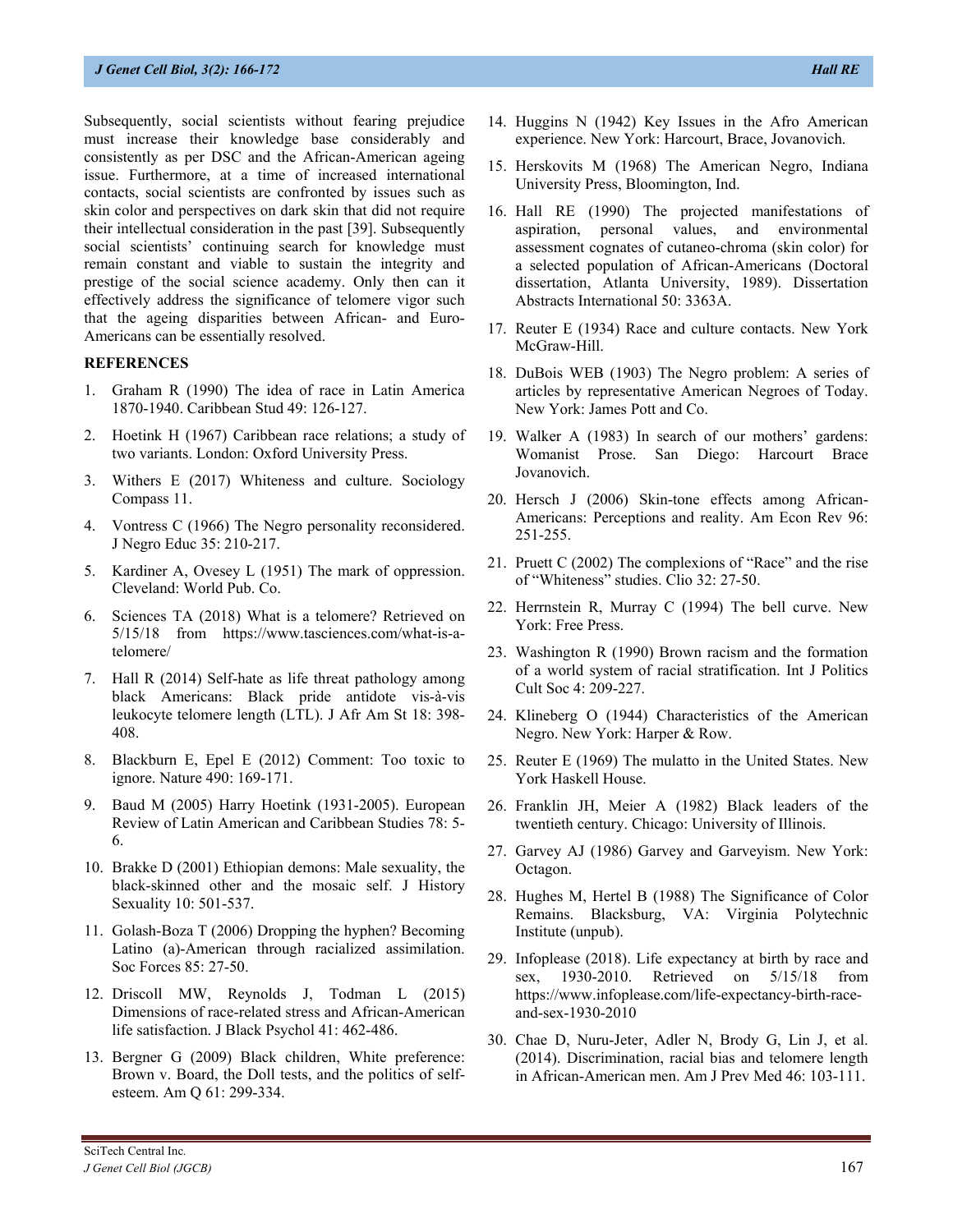Subsequently, social scientists without fearing prejudice must increase their knowledge base considerably and consistently as per DSC and the African-American ageing issue. Furthermore, at a time of increased international contacts, social scientists are confronted by issues such as skin color and perspectives on dark skin that did not require their intellectual consideration in the past [39]. Subsequently social scientists' continuing search for knowledge must remain constant and viable to sustain the integrity and prestige of the social science academy. Only then can it effectively address the significance of telomere vigor such that the ageing disparities between African- and Euro-Americans can be essentially resolved.

#### **REFERENCES**

- 1. Graham R (1990) The idea of race in Latin America 1870-1940. Caribbean Stud 49: 126-127.
- 2. Hoetink H (1967) Caribbean race relations; a study of two variants. London: Oxford University Press.
- 3. Withers E (2017) Whiteness and culture. Sociology Compass 11.
- 4. Vontress C (1966) The Negro personality reconsidered. J Negro Educ 35: 210-217.
- 5. Kardiner A, Ovesey L (1951) The mark of oppression. Cleveland: World Pub. Co.
- 6. Sciences TA (2018) What is a telomere? Retrieved on 5/15/18 from [https://www.tasciences.com/what-is-a](https://www.tasciences.com/what-is-a-telomere/)[telomere/](https://www.tasciences.com/what-is-a-telomere/)
- 7. Hall R (2014) Self-hate as life threat pathology among black Americans: Black pride antidote vis-à-vis leukocyte telomere length (LTL). J Afr Am St 18: 398- 408.
- 8. Blackburn E, Epel E (2012) Comment: Too toxic to ignore. Nature 490: 169-171.
- 9. Baud M (2005) Harry Hoetink (1931-2005). European Review of Latin American and Caribbean Studies 78: 5- 6.
- 10. Brakke D (2001) Ethiopian demons: Male sexuality, the black-skinned other and the mosaic self. J History Sexuality 10: 501-537.
- 11. Golash-Boza T (2006) Dropping the hyphen? Becoming Latino (a)-American through racialized assimilation. Soc Forces 85: 27-50.
- 12. Driscoll MW, Reynolds J, Todman L (2015) Dimensions of race-related stress and African-American life satisfaction. J Black Psychol 41: 462-486.
- 13. Bergner G (2009) Black children, White preference: Brown v. Board, the Doll tests, and the politics of selfesteem. Am Q 61: 299-334.
- 14. Huggins N (1942) Key Issues in the Afro American experience. New York: Harcourt, Brace, Jovanovich.
- 15. Herskovits M (1968) The American Negro, Indiana University Press, Bloomington, Ind.
- 16. Hall RE (1990) The projected manifestations of aspiration, personal values, and environmental assessment cognates of cutaneo-chroma (skin color) for a selected population of African-Americans (Doctoral dissertation, Atlanta University, 1989). Dissertation Abstracts International 50: 3363A.
- 17. Reuter E (1934) Race and culture contacts. New York McGraw-Hill.
- 18. DuBois WEB (1903) The Negro problem: A series of articles by representative American Negroes of Today. New York: James Pott and Co.
- 19. Walker A (1983) In search of our mothers' gardens: Womanist Prose. San Diego: Harcourt Brace Jovanovich.
- 20. Hersch J (2006) Skin-tone effects among African-Americans: Perceptions and reality. Am Econ Rev 96: 251-255.
- 21. Pruett C (2002) The complexions of "Race" and the rise of "Whiteness" studies. Clio 32: 27-50.
- 22. Herrnstein R, Murray C (1994) The bell curve. New York: Free Press.
- 23. Washington R (1990) Brown racism and the formation of a world system of racial stratification. Int J Politics Cult Soc 4: 209-227.
- 24. Klineberg O (1944) Characteristics of the American Negro. New York: Harper & Row.
- 25. Reuter E (1969) The mulatto in the United States. New York Haskell House.
- 26. Franklin JH, Meier A (1982) Black leaders of the twentieth century. Chicago: University of Illinois.
- 27. Garvey AJ (1986) Garvey and Garveyism. New York: Octagon.
- 28. Hughes M, Hertel B (1988) The Significance of Color Remains. Blacksburg, VA: Virginia Polytechnic Institute (unpub).
- 29. Infoplease (2018). Life expectancy at birth by race and sex, 1930-2010. Retrieved on 5/15/18 from [https://www.infoplease.com/life-expectancy-birth-race](https://www.infoplease.com/life-expectancy-birth-race-and-sex-1930-2010)[and-sex-1930-2010](https://www.infoplease.com/life-expectancy-birth-race-and-sex-1930-2010)
- 30. Chae D, Nuru-Jeter, Adler N, Brody G, Lin J, et al. (2014). Discrimination, racial bias and telomere length in African-American men. Am J Prev Med 46: 103-111.